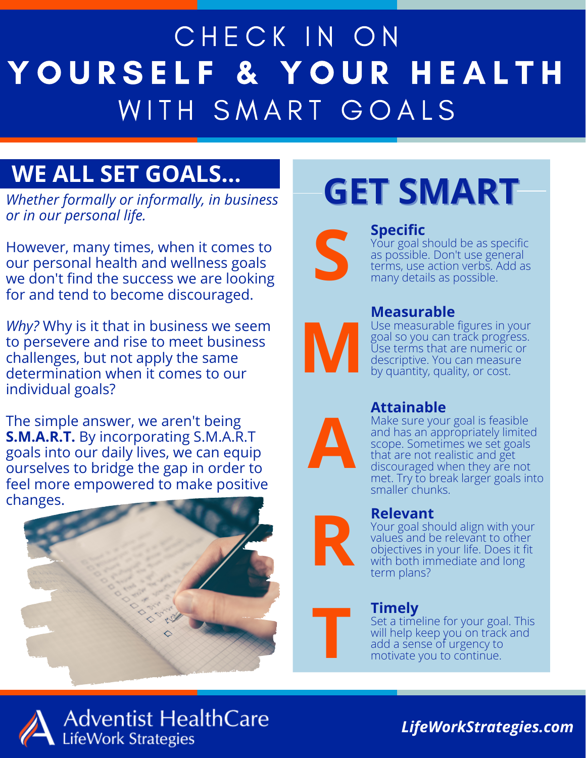## CHECK IN ON YOURSELF & YOUR HEALTH WITH SMART GOALS

### **WE ALL SET GOALS...**

*Whether formally or informally, in business or in our personal life.*

However, many times, when it comes to our personal health and wellness goals we don't find the success we are looking for and tend to become discouraged.

*Why?* Why is it that in business we seem to persevere and rise to meet business challenges, but not apply the same determination when it comes to our individual goals?

The simple answer, we aren't being **S.M.A.R.T.** By incorporating S.M.A.R.T goals into our daily lives, we can equip ourselves to bridge the gap in order to feel more empowered to make positive changes.



## **GET SMART**



#### **Specific**

Your goal should be as specific as possible. Don't use general<br>terms, use action verbs. Add as Your goal should be as sp<br>as possible. Don't use ger<br>terms, use action verbs. A<br>many details as possible.



#### **Measurable**

Use measurable figures in your goal so you can track progress. Use terms that are numeric or descriptive. You can measure by quantity, quality, or cost.



#### **Attainable**

Make sure your goal is feasible and has an appropriately limited scope. Sometimes we set goals that are not realistic and get discouraged when they are not met. Try to break larger goals into smaller chunks.



#### **Relevant**

Your goal should align with your values and be relevant to other objectives in your life. Does it fit with both immediate and long term plans?

## **T Timely**

Set a timeline for your goal. This will help keep you on track and add a sense of urgency to motivate you to continue.



**Adventist HealthCare LifeWork Strategies** 

*LifeWorkStrategies.com*